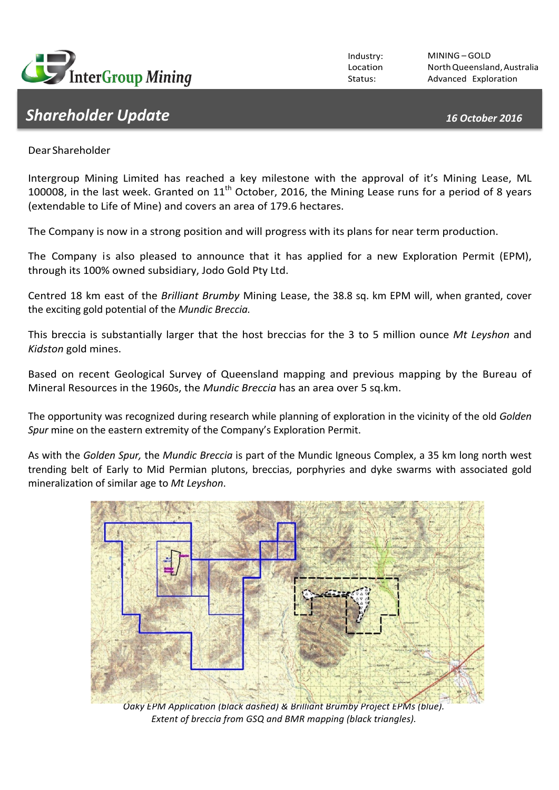

## *Shareholder Update 16 October 2016*

Industry: Location Status:

MINING – GOLD NorthQueensland,Australia Advanced Exploration

DearShareholder

Intergroup Mining Limited has reached a key milestone with the approval of it's Mining Lease, ML 100008, in the last week. Granted on  $11<sup>th</sup>$  October, 2016, the Mining Lease runs for a period of 8 years (extendable to Life of Mine) and covers an area of 179.6 hectares.

The Company is now in a strong position and will progress with its plans for near term production.

The Company is also pleased to announce that it has applied for a new Exploration Permit (EPM), through its 100% owned subsidiary, Jodo Gold Pty Ltd.

Centred 18 km east of the *Brilliant Brumby* Mining Lease, the 38.8 sq. km EPM will, when granted, cover the exciting gold potential of the *Mundic Breccia*.

This breccia is substantially larger that the host breccias for the 3 to 5 million ounce Mt Leyshon and *Kidston* gold mines.

Based on recent Geological Survey of Queensland mapping and previous mapping by the Bureau of Mineral Resources in the 1960s, the *Mundic Breccia* has an area over 5 sq.km.

The opportunity was recognized during research while planning of exploration in the vicinity of the old *Golden* Spur mine on the eastern extremity of the Company's Exploration Permit.

As with the *Golden Spur,* the *Mundic Breccia* is part of the Mundic Igneous Complex, a 35 km long north west trending belt of Early to Mid Permian plutons, breccias, porphyries and dyke swarms with associated gold mineralization of similar age to *Mt Leyshon*.



**Oaky EPM Application (black dashed) & Brilliant Brumby Project EPMs (blue).** Extent of breccia from GSQ and BMR mapping (black triangles).